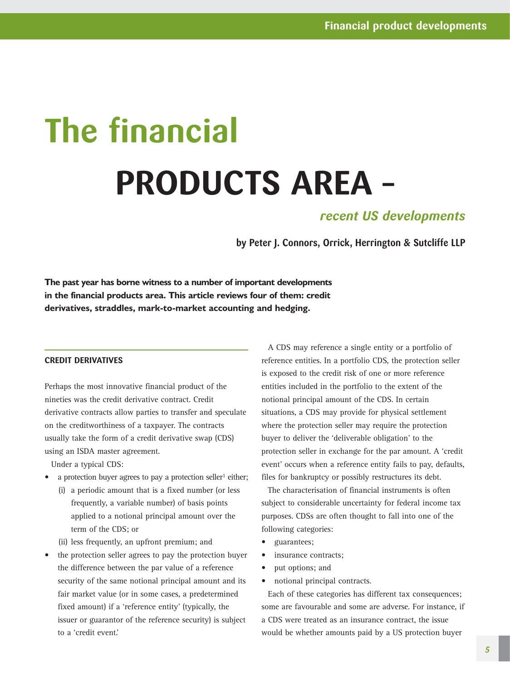# **The financial PRODUCTS AREA –**

## *recent US developments*

**by Peter J. Connors, Orrick, Herrington & Sutcliffe LLP**

**The past year has borne witness to a number of important developments in the financial products area. This article reviews four of them: credit derivatives, straddles, mark-to-market accounting and hedging.**

#### **CREDIT DERIVATIVES**

Perhaps the most innovative financial product of the nineties was the credit derivative contract. Credit derivative contracts allow parties to transfer and speculate on the creditworthiness of a taxpayer. The contracts usually take the form of a credit derivative swap (CDS) using an ISDA master agreement.

Under a typical CDS:

- a protection buyer agrees to pay a protection seller<sup>1</sup> either;
	- (i) a periodic amount that is a fixed number (or less frequently, a variable number) of basis points applied to a notional principal amount over the term of the CDS; or
	- (ii) less frequently, an upfront premium; and
- the protection seller agrees to pay the protection buyer the difference between the par value of a reference security of the same notional principal amount and its fair market value (or in some cases, a predetermined fixed amount) if a 'reference entity' (typically, the issuer or guarantor of the reference security) is subject to a 'credit event.'

A CDS may reference a single entity or a portfolio of reference entities. In a portfolio CDS, the protection seller is exposed to the credit risk of one or more reference entities included in the portfolio to the extent of the notional principal amount of the CDS. In certain situations, a CDS may provide for physical settlement where the protection seller may require the protection buyer to deliver the 'deliverable obligation' to the protection seller in exchange for the par amount. A 'credit event' occurs when a reference entity fails to pay, defaults, files for bankruptcy or possibly restructures its debt.

The characterisation of financial instruments is often subject to considerable uncertainty for federal income tax purposes. CDSs are often thought to fall into one of the following categories:

- guarantees;
- insurance contracts;
- put options; and
- notional principal contracts.

Each of these categories has different tax consequences; some are favourable and some are adverse. For instance, if a CDS were treated as an insurance contract, the issue would be whether amounts paid by a US protection buyer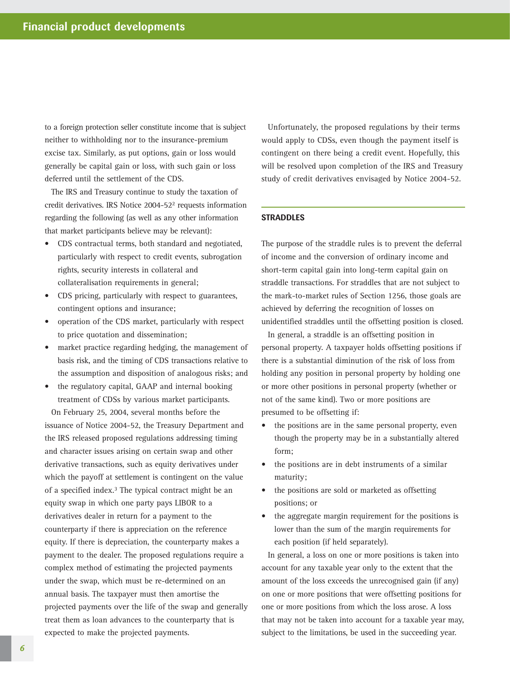to a foreign protection seller constitute income that is subject neither to withholding nor to the insurance-premium excise tax. Similarly, as put options, gain or loss would generally be capital gain or loss, with such gain or loss deferred until the settlement of the CDS.

The IRS and Treasury continue to study the taxation of credit derivatives. IRS Notice 2004-522 requests information regarding the following (as well as any other information that market participants believe may be relevant):

- CDS contractual terms, both standard and negotiated, particularly with respect to credit events, subrogation rights, security interests in collateral and collateralisation requirements in general;
- CDS pricing, particularly with respect to guarantees, contingent options and insurance;
- operation of the CDS market, particularly with respect to price quotation and dissemination;
- market practice regarding hedging, the management of basis risk, and the timing of CDS transactions relative to the assumption and disposition of analogous risks; and
- the regulatory capital, GAAP and internal booking treatment of CDSs by various market participants.

On February 25, 2004, several months before the issuance of Notice 2004-52, the Treasury Department and the IRS released proposed regulations addressing timing and character issues arising on certain swap and other derivative transactions, such as equity derivatives under which the payoff at settlement is contingent on the value of a specified index.3 The typical contract might be an equity swap in which one party pays LIBOR to a derivatives dealer in return for a payment to the counterparty if there is appreciation on the reference equity. If there is depreciation, the counterparty makes a payment to the dealer. The proposed regulations require a complex method of estimating the projected payments under the swap, which must be re-determined on an annual basis. The taxpayer must then amortise the projected payments over the life of the swap and generally treat them as loan advances to the counterparty that is expected to make the projected payments.

Unfortunately, the proposed regulations by their terms would apply to CDSs, even though the payment itself is contingent on there being a credit event. Hopefully, this will be resolved upon completion of the IRS and Treasury study of credit derivatives envisaged by Notice 2004-52.

### **STRADDLES**

The purpose of the straddle rules is to prevent the deferral of income and the conversion of ordinary income and short-term capital gain into long-term capital gain on straddle transactions. For straddles that are not subject to the mark-to-market rules of Section 1256, those goals are achieved by deferring the recognition of losses on unidentified straddles until the offsetting position is closed.

In general, a straddle is an offsetting position in personal property. A taxpayer holds offsetting positions if there is a substantial diminution of the risk of loss from holding any position in personal property by holding one or more other positions in personal property (whether or not of the same kind). Two or more positions are presumed to be offsetting if:

- the positions are in the same personal property, even though the property may be in a substantially altered form;
- the positions are in debt instruments of a similar maturity;
- the positions are sold or marketed as offsetting positions; or
- the aggregate margin requirement for the positions is lower than the sum of the margin requirements for each position (if held separately).

In general, a loss on one or more positions is taken into account for any taxable year only to the extent that the amount of the loss exceeds the unrecognised gain (if any) on one or more positions that were offsetting positions for one or more positions from which the loss arose. A loss that may not be taken into account for a taxable year may, subject to the limitations, be used in the succeeding year.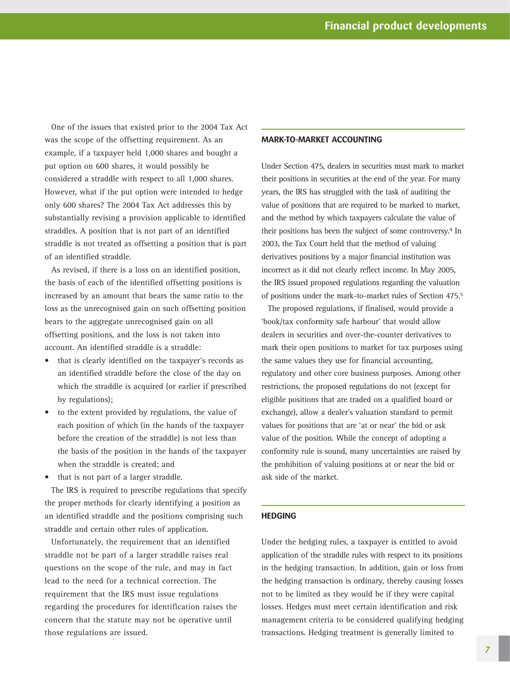One of the issues that existed prior to the 2004 Tax Act was the scope of the offsetting requirement. As an example, if a taxpayer held 1,000 shares and bought a put option on 600 shares, it would possibly be considered a straddle with respect to all 1,000 shares. However, what if the put option were intended to hedge only 600 shares? The 2004 Tax Act addresses this by substantially revising a provision applicable to identified straddles. A position that is not part of an identified straddle is not treated as offsetting a position that is part of an identified straddle.

As revised, if there is a loss on an identified position, the basis of each of the identified offsetting positions is increased by an amount that bears the same ratio to the loss as the unrecognised gain on such offsetting position bears to the aggregate unrecognised gain on all offsetting positions, and the loss is not taken into account. An identified straddle is a straddle:

- that is clearly identified on the taxpayer's records as an identified straddle before the close of the day on which the straddle is acquired (or earlier if prescribed by regulations);
- to the extent provided by regulations, the value of each position of which (in the hands of the taxpayer before the creation of the straddle) is not less than the basis of the position in the hands of the taxpayer when the straddle is created; and
- that is not part of a larger straddle.

The IRS is required to prescribe regulations that specify the proper methods for clearly identifying a position as an identified straddle and the positions comprising such straddle and certain other rules of application.

Unfortunately, the requirement that an identified straddle not be part of a larger straddle raises real questions on the scope of the rule, and may in fact lead to the need for a technical correction. The requirement that the IRS must issue regulations regarding the procedures for identification raises the concern that the statute may not be operative until those regulations are issued.

#### **MARK-TO-MARKET ACCOUNTING**

Under Section 475, dealers in securities must mark to market their positions in securities at the end of the year. For many years, the IRS has struggled with the task of auditing the value of positions that are required to be marked to market, and the method by which taxpayers calculate the value of their positions has been the subject of some controversy.<sup>4</sup> In 2003, the Tax Court held that the method of valuing derivatives positions by a major financial institution was incorrect as it did not clearly reflect income. In May 2005, the IRS issued proposed regulations regarding the valuation of positions under the mark-to-market rules of Section 475.5

The proposed regulations, if finalised, would provide a 'book/tax conformity safe harbour' that would allow dealers in securities and over-the-counter derivatives to mark their open positions to market for tax purposes using the same values they use for financial accounting, regulatory and other core business purposes. Among other restrictions, the proposed regulations do not (except for eligible positions that are traded on a qualified board or exchange), allow a dealer's valuation standard to permit values for positions that are 'at or near' the bid or ask value of the position. While the concept of adopting a conformity rule is sound, many uncertainties are raised by the prohibition of valuing positions at or near the bid or ask side of the market.

#### **HEDGING**

Under the hedging rules, a taxpayer is entitled to avoid application of the straddle rules with respect to its positions in the hedging transaction. In addition, gain or loss from the hedging transaction is ordinary, thereby causing losses not to be limited as they would be if they were capital losses. Hedges must meet certain identification and risk management criteria to be considered qualifying hedging transactions. Hedging treatment is generally limited to